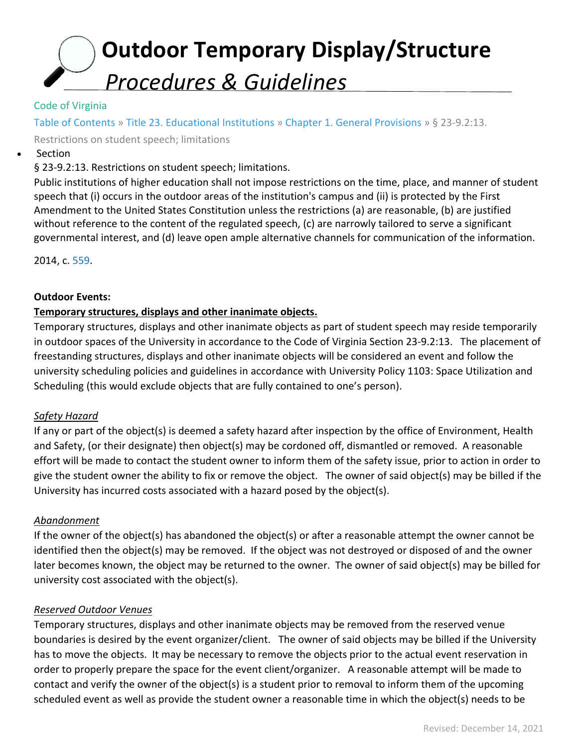# **Outdoor Temporary Display/Structure** *Procedures & Guidelines*

## Code of Virginia

Table of Contents » Title 23. Educational Institutions » Chapter 1. General Provisions » § 23-9.2:13.

Restrictions on student speech; limitations

**Section** 

§ 23-9.2:13. Restrictions on student speech; limitations.

Public institutions of higher education shall not impose restrictions on the time, place, and manner of student speech that (i) occurs in the outdoor areas of the institution's campus and (ii) is protected by the First Amendment to the United States Constitution unless the restrictions (a) are reasonable, (b) are justified without reference to the content of the regulated speech, (c) are narrowly tailored to serve a significant governmental interest, and (d) leave open ample alternative channels for communication of the information.

2014, c. 559.

#### **Outdoor Events:**

## **Temporary structures, displays and other inanimate objects.**

Temporary structures, displays and other inanimate objects as part of student speech may reside temporarily in outdoor spaces of the University in accordance to the Code of Virginia Section 23-9.2:13. The placement of freestanding structures, displays and other inanimate objects will be considered an event and follow the university scheduling policies and guidelines in accordance with University Policy 1103: Space Utilization and Scheduling (this would exclude objects that are fully contained to one's person).

## *Safety Hazard*

If any or part of the object(s) is deemed a safety hazard after inspection by the office of Environment, Health and Safety, (or their designate) then object(s) may be cordoned off, dismantled or removed. A reasonable effort will be made to contact the student owner to inform them of the safety issue, prior to action in order to give the student owner the ability to fix or remove the object. The owner of said object(s) may be billed if the University has incurred costs associated with a hazard posed by the object(s).

## *Abandonment*

If the owner of the object(s) has abandoned the object(s) or after a reasonable attempt the owner cannot be identified then the object(s) may be removed. If the object was not destroyed or disposed of and the owner later becomes known, the object may be returned to the owner. The owner of said object(s) may be billed for university cost associated with the object(s).

## *Reserved Outdoor Venues*

Temporary structures, displays and other inanimate objects may be removed from the reserved venue boundaries is desired by the event organizer/client. The owner of said objects may be billed if the University has to move the objects. It may be necessary to remove the objects prior to the actual event reservation in order to properly prepare the space for the event client/organizer. A reasonable attempt will be made to contact and verify the owner of the object(s) is a student prior to removal to inform them of the upcoming scheduled event as well as provide the student owner a reasonable time in which the object(s) needs to be